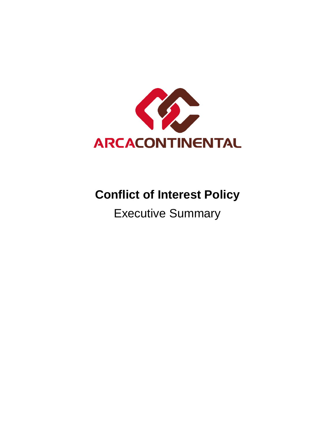

# **Conflict of Interest Policy**

# Executive Summary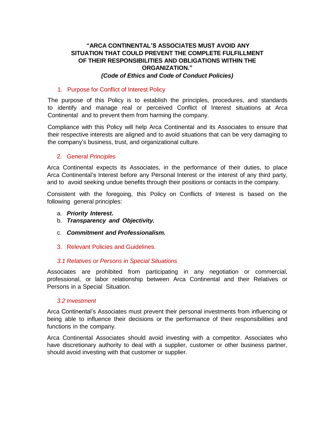# **"ARCA CONTINENTAL'S ASSOCIATES MUST AVOID ANY SITUATION THAT COULD PREVENT THE COMPLETE FULFILLMENT OF THEIR RESPONSIBILITIES AND OBLIGATIONS WITHIN THE ORGANIZATION."** *(Code of Ethics and Code of Conduct Policies)*

#### 1. Purpose for Conflict of Interest Policy

The purpose of this Policy is to establish the principles, procedures, and standards to identify and manage real or perceived Conflict of Interest situations at Arca Continental and to prevent them from harming the company.

Compliance with this Policy will help Arca Continental and its Associates to ensure that their respective interests are aligned and to avoid situations that can be very damaging to the company's business, trust, and organizational culture.

# 2. General *Principles*

Arca Continental expects its Associates, in the performance of their duties, to place Arca Continental's Interest before any Personal Interest or the interest of any third party, and to avoid seeking undue benefits through their positions or contacts in the company.

Consistent with the foregoing, this Policy on Conflicts of Interest is based on the following general principles:

- a. *Priority Interest***.**
- b. *Transparency and Objectivity.*
- c. *Commitment and Professionalism.*
- 3. Relevant Policies and Guidelines.

#### *3.1 Relatives or Persons in Special Situations*

Associates are prohibited from participating in any negotiation or commercial, professional, or labor relationship between Arca Continental and their Relatives or Persons in a Special Situation.

#### *3.2 Investment*

Arca Continental's Associates must prevent their personal investments from influencing or being able to influence their decisions or the performance of their responsibilities and functions in the company.

Arca Continental Associates should avoid investing with a competitor. Associates who have discretionary authority to deal with a supplier, customer or other business partner, should avoid investing with that customer or supplier.